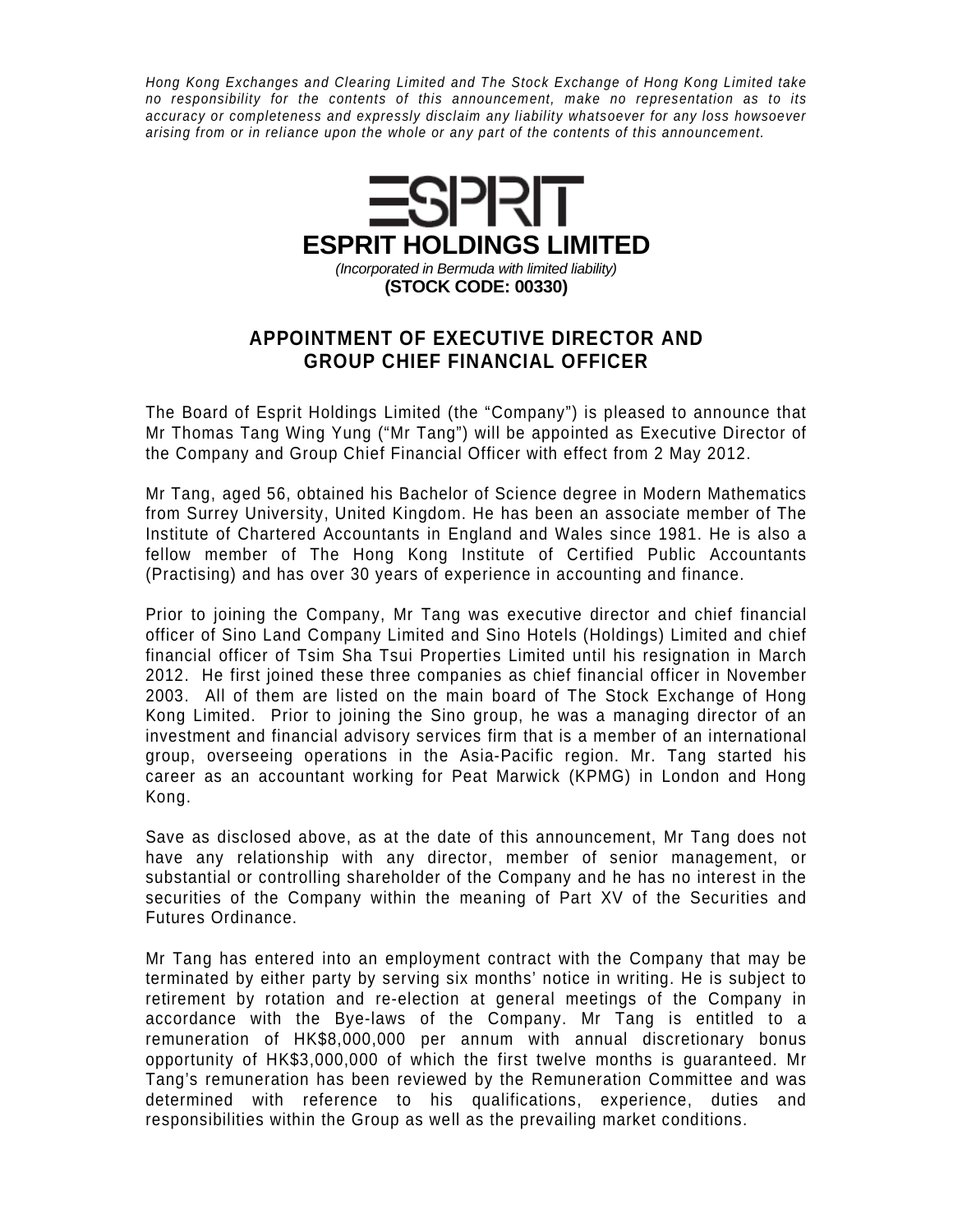Hong Kong Exchanges and Clearing Limited and The Stock Exchange of Hong Kong Limited take no responsibility for the contents of this announcement, make no representation as to its accuracy or completeness and expressly disclaim any liability whatsoever for any loss howsoever arising from or in reliance upon the whole or any part of the contents of this announcement.



## **APPOINTMENT OF EXECUTIVE DIRECTOR AND GROUP CHIEF FINANCIAL OFFICER**

The Board of Esprit Holdings Limited (the "Company") is pleased to announce that Mr Thomas Tang Wing Yung ("Mr Tang") will be appointed as Executive Director of the Company and Group Chief Financial Officer with effect from 2 May 2012.

Mr Tang, aged 56, obtained his Bachelor of Science degree in Modern Mathematics from Surrey University, United Kingdom. He has been an associate member of The Institute of Chartered Accountants in England and Wales since 1981. He is also a fellow member of The Hong Kong Institute of Certified Public Accountants (Practising) and has over 30 years of experience in accounting and finance.

Prior to joining the Company, Mr Tang was executive director and chief financial officer of Sino Land Company Limited and Sino Hotels (Holdings) Limited and chief financial officer of Tsim Sha Tsui Properties Limited until his resignation in March 2012. He first joined these three companies as chief financial officer in November 2003. All of them are listed on the main board of The Stock Exchange of Hong Kong Limited. Prior to joining the Sino group, he was a managing director of an investment and financial advisory services firm that is a member of an international group, overseeing operations in the Asia-Pacific region. Mr. Tang started his career as an accountant working for Peat Marwick (KPMG) in London and Hong Kong.

Save as disclosed above, as at the date of this announcement, Mr Tang does not have any relationship with any director, member of senior management, or substantial or controlling shareholder of the Company and he has no interest in the securities of the Company within the meaning of Part XV of the Securities and Futures Ordinance.

Mr Tang has entered into an employment contract with the Company that may be terminated by either party by serving six months' notice in writing. He is subject to retirement by rotation and re-election at general meetings of the Company in accordance with the Bye-laws of the Company. Mr Tang is entitled to a remuneration of HK\$8,000,000 per annum with annual discretionary bonus opportunity of HK\$3,000,000 of which the first twelve months is guaranteed. Mr Tang's remuneration has been reviewed by the Remuneration Committee and was determined with reference to his qualifications, experience, duties and responsibilities within the Group as well as the prevailing market conditions.